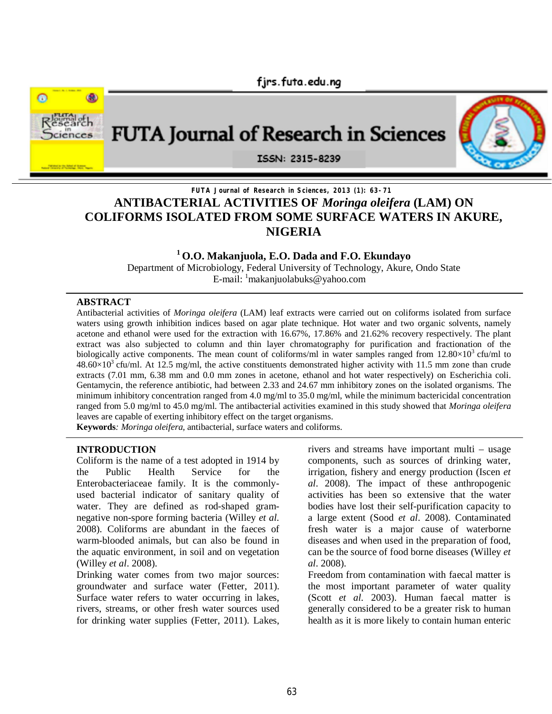

# **FUTA Journal of Research in Sciences, 2013 (1): 63-71 ANTIBACTERIAL ACTIVITIES OF** *Moringa oleifera* **(LAM) ON COLIFORMS ISOLATED FROM SOME SURFACE WATERS IN AKURE, NIGERIA**

## **<sup>1</sup> O.O. Makanjuola, E.O. Dada and F.O. Ekundayo**

Department of Microbiology, Federal University of Technology, Akure, Ondo State E-mail:  $\frac{1}{2}$ makanjuolabuks@yahoo.com

#### **ABSTRACT**

Antibacterial activities of *Moringa oleifera* (LAM) leaf extracts were carried out on coliforms isolated from surface waters using growth inhibition indices based on agar plate technique. Hot water and two organic solvents, namely acetone and ethanol were used for the extraction with 16.67%, 17.86% and 21.62% recovery respectively. The plant extract was also subjected to column and thin layer chromatography for purification and fractionation of the biologically active components. The mean count of coliforms/ml in water samples ranged from  $12.80\times10^3$  cfu/ml to  $48.60\times10^{3}$  cfu/ml. At 12.5 mg/ml, the active constituents demonstrated higher activity with 11.5 mm zone than crude extracts (7.01 mm, 6.38 mm and 0.0 mm zones in acetone, ethanol and hot water respectively) on Escherichia coli. Gentamycin, the reference antibiotic, had between 2.33 and 24.67 mm inhibitory zones on the isolated organisms. The minimum inhibitory concentration ranged from 4.0 mg/ml to 35.0 mg/ml, while the minimum bactericidal concentration ranged from 5.0 mg/ml to 45.0 mg/ml. The antibacterial activities examined in this study showed that *Moringa oleifera* leaves are capable of exerting inhibitory effect on the target organisms.

**Keywords***: Moringa oleifera,* antibacterial, surface waters and coliforms.

#### **INTRODUCTION**

Coliform is the name of a test adopted in 1914 by the Public Health Service for the Enterobacteriaceae family. It is the commonlyused bacterial indicator of sanitary quality of water. They are defined as rod-shaped gramnegative non-spore forming bacteria (Willey *et al.* 2008). Coliforms are abundant in the faeces of warm-blooded animals, but can also be found in the aquatic environment, in soil and on vegetation (Willey *et al*. 2008).

Drinking water comes from two major sources: groundwater and surface water (Fetter, 2011). Surface water refers to water occurring in lakes, rivers, streams, or other fresh water sources used for drinking water supplies (Fetter, 2011). Lakes, rivers and streams have important multi – usage components, such as sources of drinking water, irrigation, fishery and energy production (Iscen *et al*. 2008). The impact of these anthropogenic activities has been so extensive that the water bodies have lost their self-purification capacity to a large extent (Sood *et al*. 2008). Contaminated fresh water is a major cause of waterborne diseases and when used in the preparation of food, can be the source of food borne diseases (Willey *et al*. 2008).

Freedom from contamination with faecal matter is the most important parameter of water quality (Scott *et al.* 2003). Human faecal matter is generally considered to be a greater risk to human health as it is more likely to contain human enteric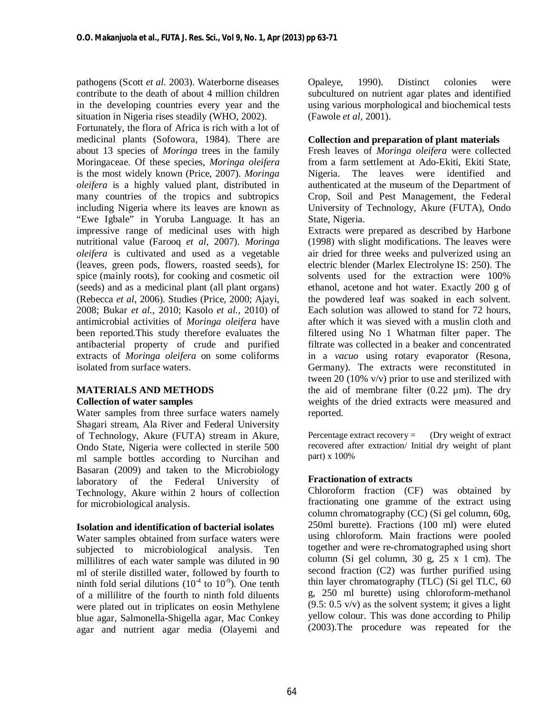pathogens (Scott *et al.* 2003). Waterborne diseases contribute to the death of about 4 million children in the developing countries every year and the situation in Nigeria rises steadily (WHO, 2002).

Fortunately, the flora of Africa is rich with a lot of medicinal plants (Sofowora, 1984). There are about 13 species of *Moringa* trees in the family Moringaceae. Of these species, *Moringa oleifera* is the most widely known (Price, 2007). *Moringa oleifera* is a highly valued plant, distributed in many countries of the tropics and subtropics including Nigeria where its leaves are known as "Ewe Igbale" in Yoruba Language. It has an impressive range of medicinal uses with high nutritional value (Farooq *et al,* 2007). *Moringa oleifera* is cultivated and used as a vegetable (leaves, green pods, flowers, roasted seeds), for spice (mainly roots), for cooking and cosmetic oil (seeds) and as a medicinal plant (all plant organs) (Rebecca *et al*, 2006). Studies (Price, 2000; Ajayi, 2008; Bukar *et al.,* 2010; Kasolo *et al.,* 2010) of antimicrobial activities of *Moringa oleifera* have been reported.This study therefore evaluates the antibacterial property of crude and purified extracts of *Moringa oleifera* on some coliforms isolated from surface waters.

## **MATERIALS AND METHODS Collection of water samples**

Water samples from three surface waters namely Shagari stream, Ala River and Federal University of Technology, Akure (FUTA) stream in Akure, Ondo State, Nigeria were collected in sterile 500 ml sample bottles according to Nurcihan and Basaran (2009) and taken to the Microbiology laboratory of the Federal University of Technology, Akure within 2 hours of collection for microbiological analysis.

## **Isolation and identification of bacterial isolates**

Water samples obtained from surface waters were subjected to microbiological analysis. Ten millilitres of each water sample was diluted in 90 ml of sterile distilled water, followed by fourth to ninth fold serial dilutions  $(10<sup>-4</sup>$  to  $10<sup>-9</sup>)$ . One tenth of a millilitre of the fourth to ninth fold diluents were plated out in triplicates on eosin Methylene blue agar, Salmonella-Shigella agar, Mac Conkey agar and nutrient agar media (Olayemi and Opaleye, 1990). Distinct colonies were subcultured on nutrient agar plates and identified using various morphological and biochemical tests (Fawole *et al*, 2001).

## **Collection and preparation of plant materials**

Fresh leaves of *Moringa oleifera* were collected from a farm settlement at Ado-Ekiti, Ekiti State, Nigeria. The leaves were identified and authenticated at the museum of the Department of Crop, Soil and Pest Management, the Federal University of Technology, Akure (FUTA), Ondo State, Nigeria.

Extracts were prepared as described by Harbone (1998) with slight modifications. The leaves were air dried for three weeks and pulverized using an electric blender (Marlex Electrolyne IS: 250). The solvents used for the extraction were 100% ethanol, acetone and hot water. Exactly 200 g of the powdered leaf was soaked in each solvent. Each solution was allowed to stand for 72 hours, after which it was sieved with a muslin cloth and filtered using No 1 Whatman filter paper. The filtrate was collected in a beaker and concentrated in a *vacuo* using rotary evaporator (Resona, Germany). The extracts were reconstituted in tween 20 (10% v/v) prior to use and sterilized with the aid of membrane filter  $(0.22 \mu m)$ . The dry weights of the dried extracts were measured and reported.

Percentage extract recovery  $=$  (Dry weight of extract recovered after extraction/ Initial dry weight of plant part) x 100%

## **Fractionation of extracts**

Chloroform fraction (CF) was obtained by fractionating one gramme of the extract using column chromatography (CC) (Si gel column, 60g, 250ml burette). Fractions (100 ml) were eluted using chloroform. Main fractions were pooled together and were re-chromatographed using short column (Si gel column,  $30 \text{ g}$ ,  $25 \text{ x } 1 \text{ cm}$ ). The second fraction (C2) was further purified using thin layer chromatography (TLC) (Si gel TLC, 60 g, 250 ml burette) using chloroform-methanol  $(9.5: 0.5 \text{ v/v})$  as the solvent system; it gives a light yellow colour. This was done according to Philip (2003).The procedure was repeated for the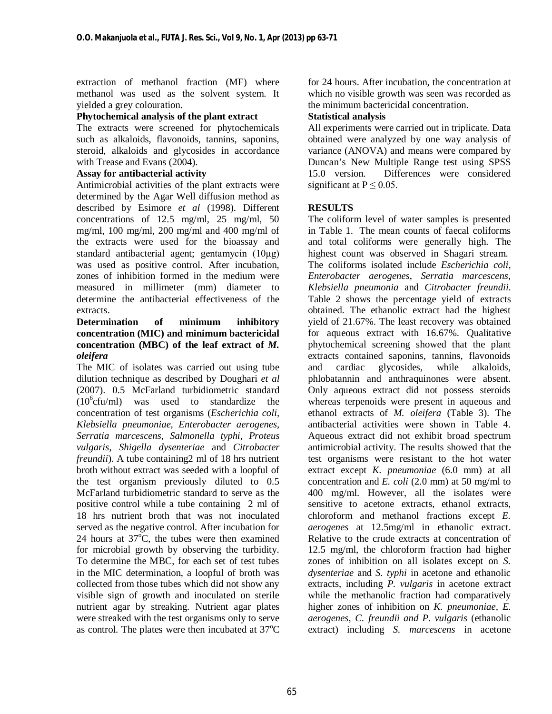extraction of methanol fraction (MF) where methanol was used as the solvent system. It yielded a grey colouration.

## **Phytochemical analysis of the plant extract**

The extracts were screened for phytochemicals such as alkaloids, flavonoids, tannins, saponins, steroid, alkaloids and glycosides in accordance with Trease and Evans (2004).

#### **Assay for antibacterial activity**

Antimicrobial activities of the plant extracts were determined by the Agar Well diffusion method as described by Esimore *et al* (1998). Different concentrations of 12.5 mg/ml, 25 mg/ml, 50 mg/ml, 100 mg/ml, 200 mg/ml and 400 mg/ml of the extracts were used for the bioassay and standard antibacterial agent; gentamycin (10μg) was used as positive control. After incubation, zones of inhibition formed in the medium were measured in millimeter (mm) diameter to determine the antibacterial effectiveness of the extracts.

## **Determination of minimum inhibitory concentration (MIC) and minimum bactericidal concentration (MBC) of the leaf extract of** *M. oleifera*

The MIC of isolates was carried out using tube dilution technique as described by Doughari *et al* (2007). 0.5 McFarland turbidiometric standard  $(10^6$ cfu/ml) was used to standardize the concentration of test organisms (*Escherichia coli, Klebsiella pneumoniae, Enterobacter aerogenes, Serratia marcescens, Salmonella typhi, Proteus vulgaris*, *Shigella dysenteriae* and *Citrobacter freundii*). A tube containing2 ml of 18 hrs nutrient broth without extract was seeded with a loopful of the test organism previously diluted to 0.5 McFarland turbidiometric standard to serve as the positive control while a tube containing 2 ml of 18 hrs nutrient broth that was not inoculated served as the negative control. After incubation for 24 hours at  $37^{\circ}$ C, the tubes were then examined for microbial growth by observing the turbidity. To determine the MBC, for each set of test tubes in the MIC determination, a loopful of broth was collected from those tubes which did not show any visible sign of growth and inoculated on sterile nutrient agar by streaking. Nutrient agar plates were streaked with the test organisms only to serve as control. The plates were then incubated at  $37^{\circ}$ C

for 24 hours. After incubation, the concentration at which no visible growth was seen was recorded as the minimum bactericidal concentration.

## **Statistical analysis**

All experiments were carried out in triplicate. Data obtained were analyzed by one way analysis of variance (ANOVA) and means were compared by Duncan's New Multiple Range test using SPSS 15.0 version. Differences were considered significant at  $P \le 0.05$ .

## **RESULTS**

The coliform level of water samples is presented in Table 1. The mean counts of faecal coliforms and total coliforms were generally high. The highest count was observed in Shagari stream. The coliforms isolated include *Escherichia coli, Enterobacter aerogenes*, *Serratia marcescens, Klebsiella pneumonia* and *Citrobacter freundii*. Table 2 shows the percentage yield of extracts obtained. The ethanolic extract had the highest yield of 21.67%. The least recovery was obtained for aqueous extract with 16.67%. Qualitative phytochemical screening showed that the plant extracts contained saponins, tannins, flavonoids and cardiac glycosides, while alkaloids, phlobatannin and anthraquinones were absent. Only aqueous extract did not possess steroids whereas terpenoids were present in aqueous and ethanol extracts of *M. oleifera* (Table 3). The antibacterial activities were shown in Table 4. Aqueous extract did not exhibit broad spectrum antimicrobial activity. The results showed that the test organisms were resistant to the hot water extract except *K. pneumoniae* (6.0 mm) at all concentration and *E. coli* (2.0 mm) at 50 mg/ml to 400 mg/ml. However, all the isolates were sensitive to acetone extracts, ethanol extracts, chloroform and methanol fractions except *E. aerogenes* at 12.5mg/ml in ethanolic extract. Relative to the crude extracts at concentration of 12.5 mg/ml, the chloroform fraction had higher zones of inhibition on all isolates except on *S. dysenteriae* and *S. typhi* in acetone and ethanolic extracts, including *P. vulgaris* in acetone extract while the methanolic fraction had comparatively higher zones of inhibition on *K. pneumoniae, E. aerogenes, C. freundii and P. vulgaris* (ethanolic extract) including *S. marcescens* in acetone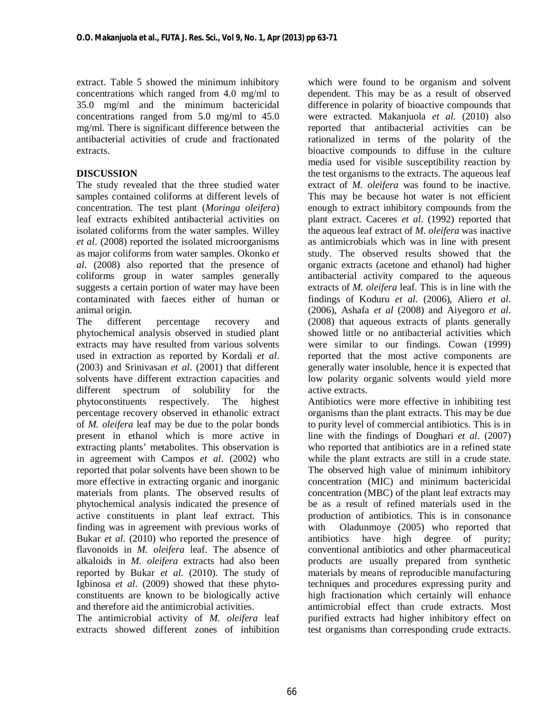extract. Table 5 showed the minimum inhibitory concentrations which ranged from 4.0 mg/ml to 35.0 mg/ml and the minimum bactericidal concentrations ranged from 5.0 mg/ml to 45.0 mg/ml. There is significant difference between the antibacterial activities of crude and fractionated extracts.

## **DISCUSSION**

The study revealed that the three studied water samples contained coliforms at different levels of concentration. The test plant (*Moringa oleifera*) leaf extracts exhibited antibacterial activities on isolated coliforms from the water samples. Willey *et al*. (2008) reported the isolated microorganisms as major coliforms from water samples. Okonko *et al*. (2008) also reported that the presence of coliforms group in water samples generally suggests a certain portion of water may have been contaminated with faeces either of human or animal origin.

The different percentage recovery and phytochemical analysis observed in studied plant extracts may have resulted from various solvents used in extraction as reported by Kordali *et al*. (2003) and Srinivasan *et al*. (2001) that different solvents have different extraction capacities and different spectrum of solubility for the phytoconstituents respectively. The highest percentage recovery observed in ethanolic extract of *M. oleifera* leaf may be due to the polar bonds present in ethanol which is more active in extracting plants' metabolites. This observation is in agreement with Campos *et al*. (2002) who reported that polar solvents have been shown to be more effective in extracting organic and inorganic materials from plants. The observed results of phytochemical analysis indicated the presence of active constituents in plant leaf extract. This finding was in agreement with previous works of Bukar *et al*. (2010) who reported the presence of flavonoids in *M. oleifera* leaf. The absence of alkaloids in *M. oleifera* extracts had also been reported by Bukar *et al*. (2010). The study of Igbinosa *et al*. (2009) showed that these phytoconstituents are known to be biologically active and therefore aid the antimicrobial activities.

The antimicrobial activity of *M. oleifera* leaf extracts showed different zones of inhibition which were found to be organism and solvent dependent. This may be as a result of observed difference in polarity of bioactive compounds that were extracted. Makanjuola *et al.* (2010) also reported that antibacterial activities can be rationalized in terms of the polarity of the bioactive compounds to diffuse in the culture media used for visible susceptibility reaction by the test organisms to the extracts. The aqueous leaf extract of *M. oleifera* was found to be inactive. This may be because hot water is not efficient enough to extract inhibitory compounds from the plant extract. Caceres *et al*. (1992) reported that the aqueous leaf extract of *M. oleifera* was inactive as antimicrobials which was in line with present study. The observed results showed that the organic extracts (acetone and ethanol) had higher antibacterial activity compared to the aqueous extracts of *M. oleifera* leaf. This is in line with the findings of Koduru *et al.* (2006), Aliero *et al*. (2006), Ashafa *et al* (2008) and Aiyegoro *et al*. (2008) that aqueous extracts of plants generally showed little or no antibacterial activities which were similar to our findings. Cowan (1999) reported that the most active components are generally water insoluble, hence it is expected that low polarity organic solvents would yield more active extracts.

Antibiotics were more effective in inhibiting test organisms than the plant extracts. This may be due to purity level of commercial antibiotics. This is in line with the findings of Doughari *et al*. (2007) who reported that antibiotics are in a refined state while the plant extracts are still in a crude state. The observed high value of minimum inhibitory concentration (MIC) and minimum bactericidal concentration (MBC) of the plant leaf extracts may be as a result of refined materials used in the production of antibiotics. This is in consonance with Oladunmoye (2005) who reported that antibiotics have high degree of purity; conventional antibiotics and other pharmaceutical products are usually prepared from synthetic materials by means of reproducible manufacturing techniques and procedures expressing purity and high fractionation which certainly will enhance antimicrobial effect than crude extracts. Most purified extracts had higher inhibitory effect on test organisms than corresponding crude extracts.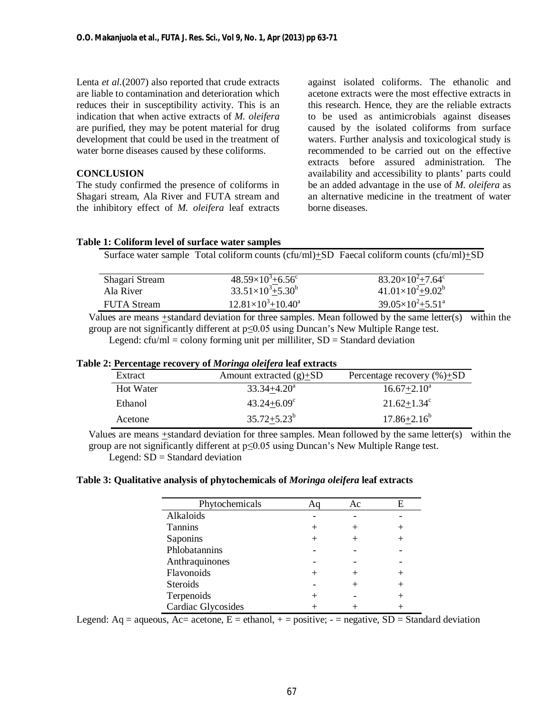Lenta *et al.*(2007) also reported that crude extracts are liable to contamination and deterioration which reduces their in susceptibility activity. This is an indication that when active extracts of *M. oleifera* are purified, they may be potent material for drug development that could be used in the treatment of water borne diseases caused by these coliforms.

## **CONCLUSION**

The study confirmed the presence of coliforms in Shagari stream, Ala River and FUTA stream and the inhibitory effect of *M. oleifera* leaf extracts against isolated coliforms. The ethanolic and acetone extracts were the most effective extracts in this research. Hence, they are the reliable extracts to be used as antimicrobials against diseases caused by the isolated coliforms from surface waters. Further analysis and toxicological study is recommended to be carried out on the effective extracts before assured administration. The availability and accessibility to plants' parts could be an added advantage in the use of *M. oleifera* as an alternative medicine in the treatment of water borne diseases.

#### **Table 1: Coliform level of surface water samples**

Surface water sample Total coliform counts (cfu/ml)+SD Faecal coliform counts (cfu/ml)+SD

| Shagari Stream     | $48.59\times10^{3}+6.56^{\circ}$ | $83.20\times10^{2}+7.64^{\circ}$ |
|--------------------|----------------------------------|----------------------------------|
| Ala River          | $33.51\times10^{3} + 5.30^{b}$   | $41.01\times10^{2}+9.02^{b}$     |
| <b>FUTA Stream</b> | $12.81\times10^{3}+10.40^{a}$    | $39.05\times10^{2}+5.51^{a}$     |
|                    |                                  |                                  |

Values are means  $\pm$ standard deviation for three samples. Mean followed by the same letter(s) within the group are not significantly different at p≤0.05 using Duncan's New Multiple Range test.

Legend:  $cfu/ml = colony forming unit per milliliter, SD = Standard deviation$ 

#### **Table 2: Percentage recovery of** *Moringa oleifera* **leaf extracts**

| Extract   | Amount extracted $(g)$ +SD | Percentage recovery $(\%)\pm SD$ |
|-----------|----------------------------|----------------------------------|
| Hot Water | $33.34 + 4.20^a$           | $16.67 + 2.10a$                  |
| Ethanol   | $43.24 + 6.09^{\circ}$     | $21.62 \pm 1.34$ <sup>c</sup>    |
| Acetone   | $35.72 + 5.23^b$           | $17.86 + 2.16^b$                 |

Values are means +standard deviation for three samples. Mean followed by the same letter(s) within the group are not significantly different at p≤0.05 using Duncan's New Multiple Range test. Legend:  $SD = Standard deviation$ 

#### **Table 3: Qualitative analysis of phytochemicals of** *Moringa oleifera* **leaf extracts**

| Phytochemicals     |      | Ac | Е |
|--------------------|------|----|---|
| Alkaloids          |      |    |   |
| <b>Tannins</b>     | $^+$ |    |   |
| Saponins           |      |    |   |
| Phlobatannins      |      |    |   |
| Anthraquinones     |      |    |   |
| Flavonoids         |      |    |   |
| <b>Steroids</b>    |      |    |   |
| Terpenoids         |      |    |   |
| Cardiac Glycosides |      |    |   |

Legend: Aq = aqueous, Ac= acetone, E = ethanol,  $+$  = positive; - = negative, SD = Standard deviation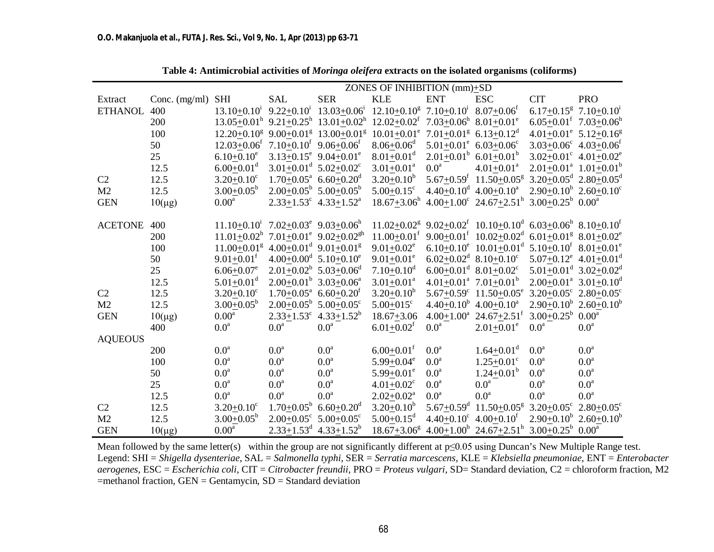|                |                 | ZONES OF INHIBITION $(mm)+SD$                                 |                                                 |                                                                                                                                     |                                                              |                                      |                                                                                                                |                                               |                                                       |
|----------------|-----------------|---------------------------------------------------------------|-------------------------------------------------|-------------------------------------------------------------------------------------------------------------------------------------|--------------------------------------------------------------|--------------------------------------|----------------------------------------------------------------------------------------------------------------|-----------------------------------------------|-------------------------------------------------------|
| Extract        | Conc. $(mg/ml)$ | <b>SHI</b>                                                    | <b>SAL</b>                                      | <b>SER</b>                                                                                                                          | <b>KLE</b>                                                   | <b>ENT</b>                           | <b>ESC</b>                                                                                                     | <b>CIT</b>                                    | <b>PRO</b>                                            |
| <b>ETHANOL</b> | 400             | $13.10 + 0.101$                                               |                                                 | $9.22+0.10^i$ 13.03+0.06 <sup>i</sup>                                                                                               | $12.10+0.10^8$ 7.10+0.10 <sup>i</sup> 8.07+0.06 <sup>f</sup> |                                      |                                                                                                                | 6.17+0.15 <sup>g</sup> 7.10+0.10 <sup>i</sup> |                                                       |
|                | 200             |                                                               |                                                 | $13.05+0.01^h$ 9.21+0.25 <sup>h</sup> 13.01+0.02 <sup>h</sup> 12.02+0.02 <sup>f</sup> 7.03+0.06 <sup>h</sup> 8.01+0.01 <sup>e</sup> |                                                              |                                      |                                                                                                                |                                               | $6.05 + 0.01^f$ 7.03+0.06 <sup>h</sup>                |
|                | 100             |                                                               |                                                 | $12.20+0.10^8$ 9.00 $+0.01^8$ 13.00 $+0.01^8$                                                                                       | $10.01+0.01^e$ 7.01 $+0.01^g$ 6.13+0.12 <sup>d</sup>         |                                      |                                                                                                                |                                               | $4.01+0.01^e$ 5.12+0.16 <sup>g</sup>                  |
|                | 50              | $12.03+0.06^f$ 7.10+0.10 <sup>f</sup> 9.06+0.06 <sup>f</sup>  |                                                 |                                                                                                                                     | $8.06 + 0.06^d$                                              | $5.01+0.01^e$ 6.03+0.06°             |                                                                                                                |                                               | $3.03+0.06^c$ 4.03+0.06 <sup>f</sup>                  |
|                | 25              | $6.10 \pm 0.10$ <sup>e</sup>                                  | $3.13 \pm 0.15^e$ 9.04 $\pm$ 0.01 <sup>e</sup>  |                                                                                                                                     | $8.01 \pm 0.01$ <sup>d</sup>                                 | $2.01+0.01^b$ 6.01+0.01 <sup>b</sup> |                                                                                                                |                                               | $3.02 \pm 0.01^{\circ}$ 4.01 $\pm 0.02^{\circ}$       |
|                | 12.5            | $6.00 \pm 0.01$ <sup>d</sup>                                  | $3.01 \pm 0.01^d$ 5.02 $\pm$ 0.02 <sup>c</sup>  |                                                                                                                                     | $3.01 \pm 0.01^a$                                            | $0.0^{\text{a}}$                     | $4.01 \pm 0.01$ <sup>a</sup>                                                                                   |                                               | $2.01 \pm 0.01^{\text{a}}$ $1.01 \pm 0.01^{\text{b}}$ |
| C <sub>2</sub> | 12.5            | $3.20 + 0.10^c$                                               | $1.70+0.05^{\text{a}}$ 6.60 + 0.20 <sup>d</sup> |                                                                                                                                     | $3.20 \pm 0.10^b$                                            |                                      | $5.67+0.59^{f}$ 11.50+0.05 <sup>g</sup>                                                                        | $3.20+0.05^d$ 2.80+0.05 <sup>d</sup>          |                                                       |
| M2             | 12.5            | $3.00+0.05^b$                                                 | $2.00+0.05^b$ 5.00+0.05 <sup>b</sup>            |                                                                                                                                     | $5.00+0.15^c$                                                | $4.40+0.10^d$ $4.00+0.10^a$          |                                                                                                                |                                               | $2.90+0.10^b$ $2.60+0.10^c$                           |
| <b>GEN</b>     | $10(\mu g)$     | 0.00 <sup>a</sup>                                             | $2.33+1.53^c$ 4.33+1.52 <sup>a</sup>            |                                                                                                                                     | $18.67 \pm 3.06^{\rm h}$                                     |                                      | $4.00+1.00^{\circ}$ 24.67+2.51 <sup>h</sup> 3.00+0.25 <sup>b</sup> 0.00 <sup>a</sup>                           |                                               |                                                       |
|                |                 |                                                               |                                                 |                                                                                                                                     |                                                              |                                      |                                                                                                                |                                               |                                                       |
| <b>ACETONE</b> | 400             | $11.10+0.101$                                                 | $7.02 \pm 0.03^e$ 9.03 $\pm 0.06^h$             |                                                                                                                                     | $11.02 + 0.02$ <sup>g</sup>                                  |                                      | $9.02+0.02^f$ 10.10+0.10 <sup>d</sup> 6.03+0.06 <sup>h</sup> 8.10+0.10 <sup>f</sup>                            |                                               |                                                       |
|                | 200             | $11.01+0.02^h$ 7.01+0.01 <sup>e</sup> 9.02+0.02 <sup>gh</sup> |                                                 |                                                                                                                                     | $11.00 \pm 0.01$ <sup>f</sup>                                |                                      | $9.00+0.01^f$ $10.02+0.02^d$                                                                                   | $6.01+0.01^g$ 8.01+0.02 <sup>e</sup>          |                                                       |
|                | 100             | $11.00 + 0.01$ <sup>g</sup>                                   | $4.00+0.01^d$ 9.01+0.01 <sup>g</sup>            |                                                                                                                                     | $9.01 \pm 0.02$ <sup>e</sup>                                 |                                      | 6.10+0.10 <sup>e</sup> 10.01 $\pm$ 0.01 <sup>d</sup> 5.10 $\pm$ 0.10 <sup>f</sup> 8.01 $\pm$ 0.01 <sup>e</sup> |                                               |                                                       |
|                | 50              | $9.01 \pm 0.01$ <sup>f</sup>                                  | $4.00+0.00^d$ 5.10+0.10 <sup>e</sup>            |                                                                                                                                     | $9.01 \pm 0.01$ <sup>e</sup>                                 |                                      | $6.02+0.02^d$ 8.10+0.10 <sup>c</sup>                                                                           |                                               | $5.07+0.12^e$ 4.01+0.01 <sup>d</sup>                  |
|                | 25              | $6.06 \pm 0.07$ <sup>e</sup>                                  | $2.01+0.02^b$ 5.03+0.06 <sup>d</sup>            |                                                                                                                                     | $7.10 \pm 0.10$ <sup>d</sup>                                 |                                      | $6.00+0.01^d$ $8.01+0.02^c$                                                                                    |                                               | $5.01 \pm 0.01^d$ 3.02 $\pm$ 0.02 <sup>d</sup>        |
|                | 12.5            | $5.01 \pm 0.01$ <sup>d</sup>                                  | $2.00+0.01^b$ 3.03+0.06 <sup>a</sup>            |                                                                                                                                     | $3.01 + 0.01$ <sup>a</sup>                                   |                                      | $4.01 \pm 0.01^{\text{a}}$ $7.01 \pm 0.01^{\text{b}}$                                                          |                                               | $2.00+0.01^a$ 3.01+0.10 <sup>d</sup>                  |
| C <sub>2</sub> | 12.5            | $3.20 \pm 0.10$ <sup>c</sup>                                  | $1.70+0.05^{\text{a}}$ 6.60 + 0.20 <sup>f</sup> |                                                                                                                                     | $3.20 \pm 0.10^b$                                            |                                      | $5.67 + 0.59$ ° $11.50 + 0.05$ °                                                                               | $3.20+0.05^c$ 2.80+0.05°                      |                                                       |
| M <sub>2</sub> | 12.5            | $3.00+0.05^b$                                                 | $2.00+0.05^b$ 5.00+0.05°                        |                                                                                                                                     | $5.00 + 015$ °                                               |                                      | $4.40+0.10^b$ $4.00+0.10^a$                                                                                    |                                               | $2.90+0.10^b$ $2.60+0.10^b$                           |
| <b>GEN</b>     | $10(\mu g)$     | 0.00 <sup>a</sup>                                             | $2.33 \pm 1.53$ °                               | $4.33 \pm 1.52^b$                                                                                                                   | $18.67 + 3.06$                                               |                                      | $4.00 \pm 1.00^{\circ}$ 24.67 $\pm 2.51^{\circ}$                                                               | $3.00+0.25^b$                                 | 0.00 <sup>a</sup>                                     |
|                | 400             | $0.0^{\text{a}}$                                              | 0.0 <sup>a</sup>                                | 0.0 <sup>a</sup>                                                                                                                    | $6.01 + 0.02$ <sup>f</sup>                                   | 0.0 <sup>a</sup>                     | $2.01 \pm 0.01$ <sup>e</sup>                                                                                   | 0.0 <sup>a</sup>                              | 0.0 <sup>a</sup>                                      |
| <b>AQUEOUS</b> |                 |                                                               |                                                 |                                                                                                                                     |                                                              |                                      |                                                                                                                |                                               |                                                       |
|                | 200             | 0.0 <sup>a</sup>                                              | 0.0 <sup>a</sup>                                | 0.0 <sup>a</sup>                                                                                                                    | $6.00 \pm 0.01$ <sup>f</sup>                                 | 0.0 <sup>a</sup>                     | $1.64 \pm 0.01$ <sup>d</sup>                                                                                   | 0.0 <sup>a</sup>                              | 0.0 <sup>a</sup>                                      |
|                | 100             | $0.0^{\text{a}}$                                              | 0.0 <sup>a</sup>                                | $0.0^a$                                                                                                                             | $5.99 + 0.04^e$                                              | 0.0 <sup>a</sup>                     | $1.25 \pm 0.01$ <sup>c</sup>                                                                                   | 0.0 <sup>a</sup>                              | $0.0^a$                                               |
|                | 50              | 0.0 <sup>a</sup>                                              | 0.0 <sup>a</sup>                                | 0.0 <sup>a</sup>                                                                                                                    | $5.99 \pm 0.01^e$                                            | 0.0 <sup>a</sup>                     | $1.24 \pm 0.01^b$                                                                                              | 0.0 <sup>a</sup>                              | 0.0 <sup>a</sup>                                      |
|                | 25              | $0.0^{\text{a}}$                                              | 0.0 <sup>a</sup>                                | $0.0^a$                                                                                                                             | $4.01 + 0.02$ <sup>c</sup>                                   | $0.0^a$                              | $0.0^{\text{a}}$                                                                                               | $0.0^a$                                       | $0.0^a$                                               |
|                | 12.5            | 0.0 <sup>a</sup>                                              | $0.0^{\mathrm{a}}$                              | 0.0 <sup>a</sup>                                                                                                                    | $2.02 + 0.02^a$                                              | 0.0 <sup>a</sup>                     | 0.0 <sup>a</sup>                                                                                               | 0.0 <sup>a</sup>                              | 0.0 <sup>a</sup>                                      |
| C2             | 12.5            | $3.20 \pm 0.10^c$                                             | $1.70 \pm 0.05^{\rm b}$                         | $6.60 \pm 0.20$ <sup>d</sup>                                                                                                        | $3.20 \pm 0.10^b$                                            | $5.67 \pm 0.59$ <sup>d</sup>         | $11.50+0.05^g$ 3.20+0.05° 2.80+0.05°                                                                           |                                               |                                                       |
| M <sub>2</sub> | 12.5            | $3.00+0.05^b$                                                 | $2.00+0.05^{\circ}$ 5.00+0.05°                  |                                                                                                                                     | $5.00+0.15^d$                                                |                                      | $4.40+0.10^c$ $4.00+0.10^f$                                                                                    |                                               | $2.90+0.10^b$ $2.60+0.10^b$                           |
| <b>GEN</b>     | $10(\mu g)$     | 0.00 <sup>a</sup>                                             |                                                 | $2.33+1.53^d$ 4.33+1.52 <sup>b</sup>                                                                                                |                                                              |                                      | $18.67+3.06^8$ 4.00+1.00 <sup>b</sup> 24.67+2.51 <sup>h</sup> 3.00+0.25 <sup>b</sup> 0.00 <sup>a</sup>         |                                               |                                                       |

**Table 4: Antimicrobial activities of** *Moringa oleifera* **extracts on the isolated organisms (coliforms)**

Mean followed by the same letter(s) within the group are not significantly different at p≤0.05 using Duncan's New Multiple Range test. Legend: SHI = *Shigella dysenteriae*, SAL = *Salmonella typhi*, SER = *Serratia marcescens,* KLE = *Klebsiella pneumoniae*, ENT = *Enterobacter aerogenes*, ESC = *Escherichia coli*, CIT = *Citrobacter freundii*, PRO = *Proteus vulgari,* SD= Standard deviation, C2 = chloroform fraction, M2  $=$ methanol fraction, GEN  $=$  Gentamycin, SD  $=$  Standard deviation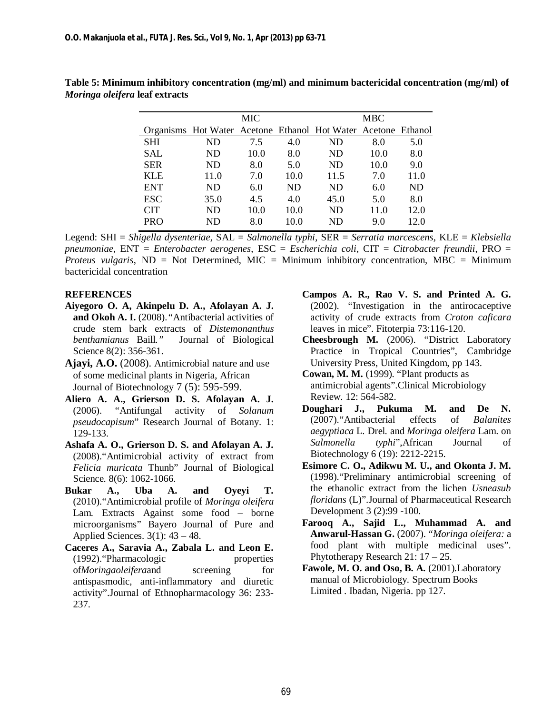|            |                                                               | MIC  |      | MBC  |      |           |  |
|------------|---------------------------------------------------------------|------|------|------|------|-----------|--|
|            | Organisms Hot Water Acetone Ethanol Hot Water Acetone Ethanol |      |      |      |      |           |  |
| <b>SHI</b> | ND                                                            | 7.5  | 4.0  | ND   | 8.0  | 5.0       |  |
| SAL        | ND                                                            | 10.0 | 8.0  | ND   | 10.0 | 8.0       |  |
| <b>SER</b> | ND                                                            | 8.0  | 5.0  | ND   | 10.0 | 9.0       |  |
| <b>KLE</b> | 11.0                                                          | 7.0  | 10.0 | 11.5 | 7.0  | 11.0      |  |
| <b>ENT</b> | ND                                                            | 6.0  | ND   | ND   | 6.0  | <b>ND</b> |  |
| <b>ESC</b> | 35.0                                                          | 4.5  | 4.0  | 45.0 | 5.0  | 8.0       |  |
| <b>CIT</b> | ND                                                            | 10.0 | 10.0 | ND   | 11.0 | 12.0      |  |
| <b>PRO</b> | ND                                                            | 8.0  | 10.0 | ND   | 9.0  | 12.0      |  |

**Table 5: Minimum inhibitory concentration (mg/ml) and minimum bactericidal concentration (mg/ml) of**  *Moringa oleifera* **leaf extracts**

Legend: SHI = *Shigella dysenteriae*, SAL = *Salmonella typhi*, SER = *Serratia marcescens,* KLE = *Klebsiella pneumoniae*, ENT = *Enterobacter aerogenes*, ESC = *Escherichia coli*, CIT = *Citrobacter freundii*, PRO = *Proteus vulgaris*, ND = Not Determined, MIC = Minimum inhibitory concentration, MBC = Minimum bactericidal concentration

#### **REFERENCES**

- **Aiyegoro O. A, Akinpelu D. A., Afolayan A. J. and Okoh A. I.** (2008).*"*Antibacterial activities of crude stem bark extracts of *Distemonanthus benthamianus* Baill*."* Journal of Biological Science 8(2): 356-361.
- **Ajayi, A.O.** (2008). Antimicrobial nature and use of some medicinal plants in Nigeria, African Journal of Biotechnology 7 (5): 595-599.
- **Aliero A. A., Grierson D. S. Afolayan A. J.** (2006). "Antifungal activity of *Solanum pseudocapisum*" Research Journal of Botany. 1: 129-133.
- **Ashafa A. O., Grierson D. S. and Afolayan A. J.** (2008)."Antimicrobial activity of extract from *Felicia muricata* Thunb" Journal of Biological Science. 8(6): 1062-1066.
- **Bukar A., Uba A. and Oyeyi T.** (2010)."Antimicrobial profile of *Moringa oleifera*  Lam*.* Extracts Against some food – borne microorganisms" Bayero Journal of Pure and Applied Sciences.  $3(1)$ :  $43 - 48$ .
- **Caceres A., Saravia A., Zabala L. and Leon E.** (1992)."Pharmacologic properties of*Moringaoleifera*and screening for antispasmodic, anti-inflammatory and diuretic activity".Journal of Ethnopharmacology 36: 233- 237.
- **Campos A. R., Rao V. S. and Printed A. G.** (2002). "Investigation in the antirocaceptive activity of crude extracts from *Croton caficara* leaves in mice". Fitoterpia 73:116-120.
- **Cheesbrough M.** (2006). "District Laboratory Practice in Tropical Countries", Cambridge University Press, United Kingdom, pp 143.
- **Cowan, M. M.** (1999). "Plant products as antimicrobial agents".Clinical Microbiology Review. 12: 564-582.
- **Doughari J., Pukuma M. and De N.**  (2007)."Antibacterial effects of *Balanites aegyptiaca* L*.* Drel*.* and *Moringa oleifera* Lam. on *Salmonella typhi*",African Journal of Biotechnology 6 (19): 2212-2215.
- **Esimore C. O., Adikwu M. U., and Okonta J. M.** (1998)."Preliminary antimicrobial screening of the ethanolic extract from the lichen *Usneasub floridans* (L)".Journal of Pharmaceutical Research Development 3 (2):99 -100.
- **Farooq A., Sajid L., Muhammad A. and Anwarul-Hassan G.** (2007). "*Moringa oleifera:* a food plant with multiple medicinal uses". Phytotherapy Research 21: 17 – 25.
- Fawole, M. O. and Oso, B. A. (2001). Laboratory manual of Microbiology*.* Spectrum Books Limited . Ibadan, Nigeria. pp 127.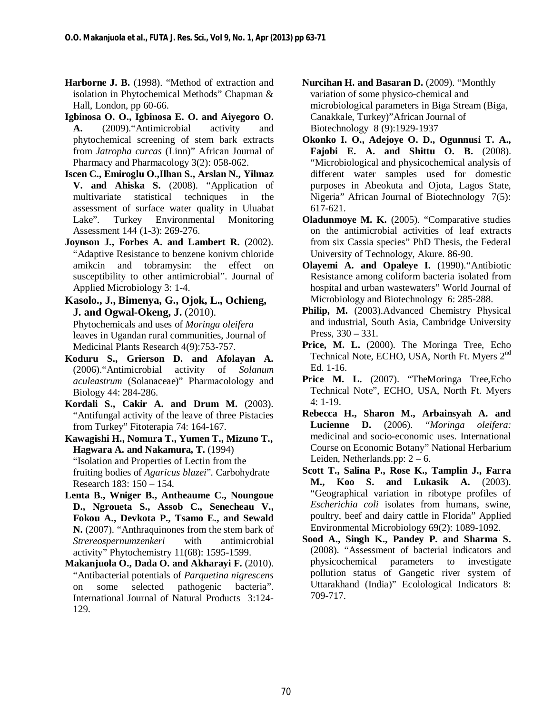- **Harborne J. B.** (1998). "Method of extraction and isolation in Phytochemical Methods" Chapman & Hall, London, pp 60-66.
- **Igbinosa O. O., Igbinosa E. O. and Aiyegoro O. A.** (2009)."Antimicrobial activity and phytochemical screening of stem bark extracts from *Jatropha curcas* (Linn)" African Journal of Pharmacy and Pharmacology 3(2): 058-062.
- **Iscen C., Emiroglu O.,Ilhan S., Arslan N., Yilmaz V. and Ahiska S.** (2008). "Application of multivariate statistical techniques in the assessment of surface water quality in Uluabat Lake". Turkey Environmental Monitoring Assessment 144 (1-3): 269-276.
- **Joynson J., Forbes A. and Lambert R.** (2002). "Adaptive Resistance to benzene konivm chloride amikcin and tobramysin: the effect on susceptibility to other antimicrobial". Journal of Applied Microbiology 3: 1-4.
- **Kasolo., J., Bimenya, G., Ojok, L., Ochieng, J. and Ogwal-Okeng, J.** (2010). Phytochemicals and uses of *Moringa oleifera* leaves in Ugandan rural communities, Journal of Medicinal Plants Research 4(9):753-757.
- **Koduru S., Grierson D. and Afolayan A.**  (2006)."Antimicrobial activity of *Solanum aculeastrum* (Solanaceae)" Pharmacolology and Biology 44: 284-286.
- **Kordali S., Cakir A. and Drum M.** (2003). "Antifungal activity of the leave of three Pistacies from Turkey" Fitoterapia 74: 164-167.
- **Kawagishi H., Nomura T., Yumen T., Mizuno T., Hagwara A. and Nakamura, T.** (1994) "Isolation and Properties of Lectin from the fruiting bodies of *Agaricus blazei*"*.* Carbohydrate Research 183: 150 – 154.
- **Lenta B., Wniger B., Antheaume C., Noungoue D., Ngroueta S., Assob C., Senecheau V., Fokou A., Devkota P., Tsamo E., and Sewald N.** (2007). "Anthraquinones from the stem bark of *Strereospernumzenkeri* with antimicrobial activity" Phytochemistry 11(68): 1595-1599.
- **Makanjuola O., Dada O. and Akharayi F.** (2010). "Antibacterial potentials of *Parquetina nigrescens* on some selected pathogenic bacteria". International Journal of Natural Products 3:124- 129.
- **Nurcihan H. and Basaran D.** (2009). "Monthly variation of some physico-chemical and microbiological parameters in Biga Stream (Biga, Canakkale, Turkey)"African Journal of Biotechnology 8 (9):1929-1937
- **Okonko I. O., Adejoye O. D., Ogunnusi T. A., Fajobi E. A. and Shittu O. B.** (2008). "Microbiological and physicochemical analysis of different water samples used for domestic purposes in Abeokuta and Ojota, Lagos State, Nigeria" African Journal of Biotechnology 7(5): 617-621.
- **Oladunmoye M. K.** (2005). "Comparative studies on the antimicrobial activities of leaf extracts from six Cassia species" PhD Thesis, the Federal University of Technology, Akure. 86-90.
- **Olayemi A. and Opaleye I.** (1990)."Antibiotic Resistance among coliform bacteria isolated from hospital and urban wastewaters" World Journal of Microbiology and Biotechnology 6: 285-288.
- **Philip, M.** (2003).Advanced Chemistry Physical and industrial*,* South Asia, Cambridge University Press, 330 – 331.
- **Price, M. L.** (2000). The Moringa Tree, Echo Technical Note, ECHO, USA, North Ft. Myers 2<sup>nd</sup> Ed. 1-16.
- **Price M. L.** (2007). "TheMoringa Tree*,*Echo Technical Note", ECHO, USA, North Ft. Myers 4: 1-19.
- **Rebecca H., Sharon M., Arbainsyah A. and Lucienne D.** (2006). "*Moringa oleifera:*  medicinal and socio-economic uses. International Course on Economic Botany" National Herbarium Leiden, Netherlands.pp: 2 – 6.
- **Scott T., Salina P., Rose K., Tamplin J., Farra M., Koo S. and Lukasik A.** (2003). "Geographical variation in ribotype profiles of *Escherichia coli* isolates from humans, swine, poultry, beef and dairy cattle in Florida" Applied Environmental Microbiology 69(2): 1089-1092.
- **Sood A., Singh K., Pandey P. and Sharma S.** (2008). "Assessment of bacterial indicators and physicochemical parameters to investigate pollution status of Gangetic river system of Uttarakhand (India)" Ecolological Indicators 8: 709-717.